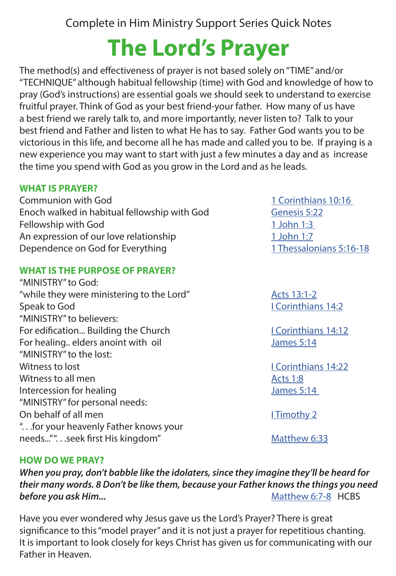Complete in Him Ministry Support Series Quick Notes

# **The Lord's Prayer**

The method(s) and effectiveness of prayer is not based solely on "TIME" and/or "TECHNIQUE" although habitual fellowship (time) with God and knowledge of how to pray (God's instructions) are essential goals we should seek to understand to exercise fruitful prayer. Think of God as your best friend-your father. How many of us have a best friend we rarely talk to, and more importantly, never listen to? Talk to your best friend and Father and listen to what He has to say. Father God wants you to be victorious in this life, and become all he has made and called you to be. If praying is a new experience you may want to start with just a few minutes a day and as increase the time you spend with God as you grow in the Lord and as he leads.

### **WHAT IS PRAYER?**

Communion with God 1 Corinthians 10:16 Enoch walked in habitual fellowship with God
Genesis 5:22 Fellowship with God 1 John 1:3 An expression of our love relationship 1 John 1:7 Dependence on God for Everything 1 Thessalonians 5:16-18

### **WHAT IS THE PURPOSE OF PRAYER?**

"MINISTRY" to God: "while they were ministering to the Lord" Acts 13:1-2<br>Speak to God I Corinthian "MINISTRY" to believers: For edification... Building the Church I Corinthians 14:12 For healing.. elders anoint with oil James 5:14 "MINISTRY" to the lost: Witness to lost **I Corinthians 14:22** Witness to all men Acts 1:8 Intercession for healing and a set of the James 5:14 "MINISTRY" for personal needs: On behalf of all men I Timothy 2 ". . .for your heavenly Father knows your needs..."". .seek first His kingdom" Matthew 6:33

**I Corinthians 14:2** 

### **HOW DO WE PRAY?**

*When you pray, don't babble like the idolaters, since they imagine they'll be heard for their many words. 8 Don't be like them, because your Father knows the things you need*  **before you ask Him...** Matthew 6:7-8 HCBS

Have you ever wondered why Jesus gave us the Lord's Prayer? There is great significance to this "model prayer" and it is not just a prayer for repetitious chanting. It is important to look closely for keys Christ has given us for communicating with our Father in Heaven.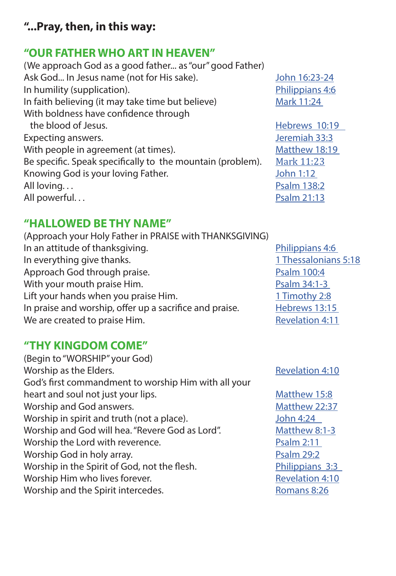# **"...Pray, then, in this way:**

# **"OUR FATHER WHO ART IN HEAVEN"**

(We approach God as a good father... as "our" good Father) Ask God... In Jesus name (not for His sake). John 16:23-24 In humility (supplication). The example of the Philippians 4:6 In faith believing (it may take time but believe) Mark 11:24 With boldness have confidence through the blood of Jesus. The blood of Jesus. Expecting answers. The same state of the set of the set of the set of the set of the set of the set of the set o With people in agreement (at times). Matthew 18:19 Be specific. Speak specifically to the mountain (problem).  $\frac{Mark\ 11:23}{John\ 1:12}$ <br>Knowing God is your loving Father. Knowing God is your loving Father. All loving... All powerful...

# **"HALLOWED BE THY NAME"**

(Approach your Holy Father in PRAISE with THANKSGIVING) In an attitude of thanksgiving. The example of the philippians 4:6 In everything give thanks. 1 Thessalonians 5:18 Approach God through praise. The example of the Psalm 100:4 With your mouth praise Him. The same state of the Psalm 34:1-3 Lift your hands when you praise Him. 1 Timothy 2:8 In praise and worship, offer up a sacrifice and praise. Hebrews 13:15 We are created to praise Him. The same state of the Revelation 4:11

# **"THY KINGDOM COME"**

(Begin to "WORSHIP" your God) Worship as the Elders. The contract of the Revelation 4:10 God's first commandment to worship Him with all your heart and soul not just your lips. The matthew 15:8 Worship and God answers. Matthew 22:37 Worship in spirit and truth (not a place). John 4:24 Worship and God will hea. "Revere God as Lord". Matthew 8:1-3 Worship the Lord with reverence. The example of the Psalm 2:11 Worship God in holy array. The example of the Psalm 29:2 Worship in the Spirit of God, not the flesh. Philippians 3:3 Worship Him who lives forever. The matter of the Revelation 4:10 Worship and the Spirit intercedes. The Romans 8:26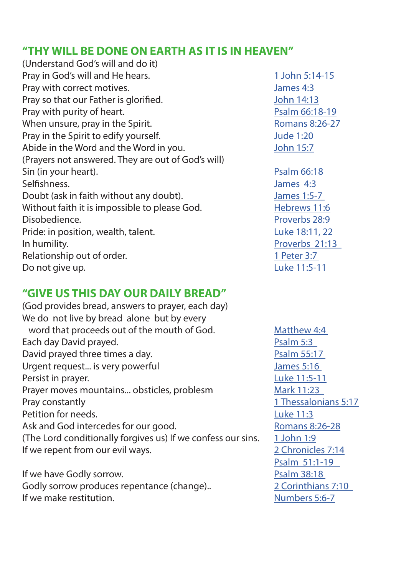### **"THY WILL BE DONE ON EARTH AS IT IS IN HEAVEN"**

(Understand God's will and do it) Pray in God's will and He hears. 1 John 5:14-15 Pray with correct motives. James 4:3 Pray so that our Father is glorified. The state of the Uphr 14:13 Pray with purity of heart. Pray with purity of heart. When unsure, pray in the Spirit. The mass of the Romans 8:26-27 Pray in the Spirit to edify yourself. The state of the state of 1:20 Abide in the Word and the Word in you. The United States of the United States and the Word in you. (Prayers not answered. They are out of God's will) Sin (in your heart). Psalm 66:18 Selfishness. James 4:3 Doubt (ask in faith without any doubt). James 1:5-7 Without faith it is impossible to please God. Hebrews 11:6 Disobedience. **Proverbs** 28:9 Pride: in position, wealth, talent. The contraction of the 18:11, 22 In humility. Proverbs 21:13 Relationship out of order. 1 Peter 3:7 Do not give up. **Luke 11:5-11** 

### **"GIVE US THIS DAY OUR DAILY BREAD"**

(God provides bread, answers to prayer, each day) We do not live by bread alone but by every word that proceeds out of the mouth of God. Matthew 4:4 Each day David prayed. The same state of the Psalm 5:3 David prayed three times a day. David prayed three times a day. Urgent request... is very powerful discussed and the set of the set of the set of the Uames 5:16 Persist in prayer. The contract of the contract of the contract of the Luke 11:5-11 Prayer moves mountains... obsticles, problesm Mark 11:23 **Pray constantly Pray constantly 1 Thessalonians 5:17** Petition for needs. **Example 20** and 20 and 20 and 20 and 20 and 20 and 20 and 20 and 20 and 20 and 20 and 20 and 20 and 20 and 20 and 20 and 20 and 20 and 20 and 20 and 20 and 20 and 20 and 20 and 20 and 20 and 20 and 20 Ask and God intercedes for our good. Romans 8:26-28 (The Lord conditionally forgives us) If we confess our sins.  $1$  John 1:9 If we repent from our evil ways. 2 Chronicles 7:14

If we have Godly sorrow. The same state of the Psalm 38:18 Godly sorrow produces repentance (change).. 2 Corinthians 7:10 If we make restitution. The matrix of the Mumbers 5:6-7

Psalm 51:1-19